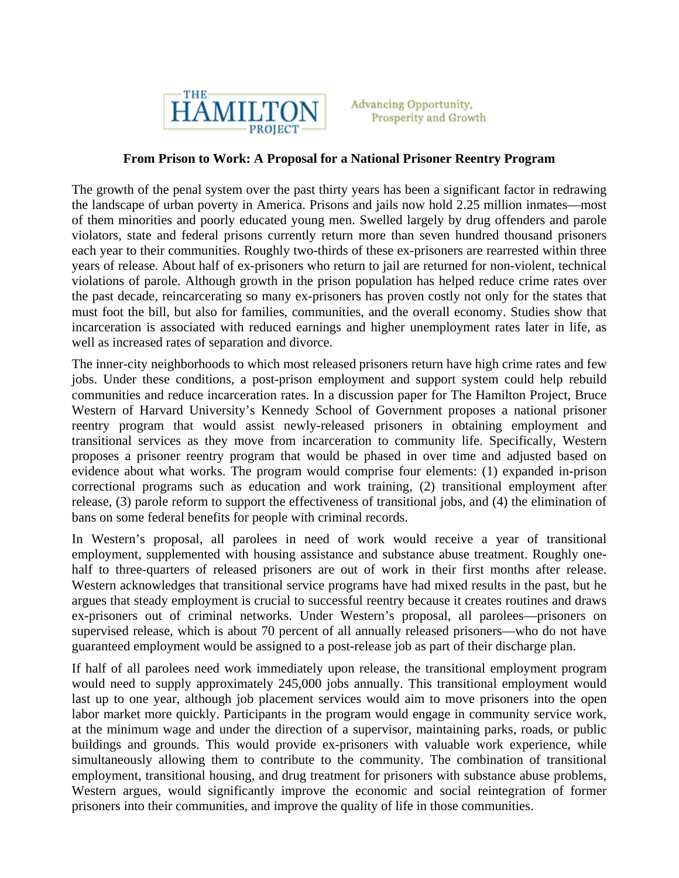

**Advancing Opportunity, Prosperity and Growth** 

## **From Prison to Work: A Proposal for a National Prisoner Reentry Program**

The growth of the penal system over the past thirty years has been a significant factor in redrawing the landscape of urban poverty in America. Prisons and jails now hold 2.25 million inmates—most of them minorities and poorly educated young men. Swelled largely by drug offenders and parole violators, state and federal prisons currently return more than seven hundred thousand prisoners each year to their communities. Roughly two-thirds of these ex-prisoners are rearrested within three years of release. About half of ex-prisoners who return to jail are returned for non-violent, technical violations of parole. Although growth in the prison population has helped reduce crime rates over the past decade, reincarcerating so many ex-prisoners has proven costly not only for the states that must foot the bill, but also for families, communities, and the overall economy. Studies show that incarceration is associated with reduced earnings and higher unemployment rates later in life, as well as increased rates of separation and divorce.

The inner-city neighborhoods to which most released prisoners return have high crime rates and few jobs. Under these conditions, a post-prison employment and support system could help rebuild communities and reduce incarceration rates. In a discussion paper for The Hamilton Project, Bruce Western of Harvard University's Kennedy School of Government proposes a national prisoner reentry program that would assist newly-released prisoners in obtaining employment and transitional services as they move from incarceration to community life. Specifically, Western proposes a prisoner reentry program that would be phased in over time and adjusted based on evidence about what works. The program would comprise four elements: (1) expanded in-prison correctional programs such as education and work training, (2) transitional employment after release, (3) parole reform to support the effectiveness of transitional jobs, and (4) the elimination of bans on some federal benefits for people with criminal records.

In Western's proposal, all parolees in need of work would receive a year of transitional employment, supplemented with housing assistance and substance abuse treatment. Roughly onehalf to three-quarters of released prisoners are out of work in their first months after release. Western acknowledges that transitional service programs have had mixed results in the past, but he argues that steady employment is crucial to successful reentry because it creates routines and draws ex-prisoners out of criminal networks. Under Western's proposal, all parolees—prisoners on supervised release, which is about 70 percent of all annually released prisoners—who do not have guaranteed employment would be assigned to a post-release job as part of their discharge plan.

If half of all parolees need work immediately upon release, the transitional employment program would need to supply approximately 245,000 jobs annually. This transitional employment would last up to one year, although job placement services would aim to move prisoners into the open labor market more quickly. Participants in the program would engage in community service work, at the minimum wage and under the direction of a supervisor, maintaining parks, roads, or public buildings and grounds. This would provide ex-prisoners with valuable work experience, while simultaneously allowing them to contribute to the community. The combination of transitional employment, transitional housing, and drug treatment for prisoners with substance abuse problems, Western argues, would significantly improve the economic and social reintegration of former prisoners into their communities, and improve the quality of life in those communities.